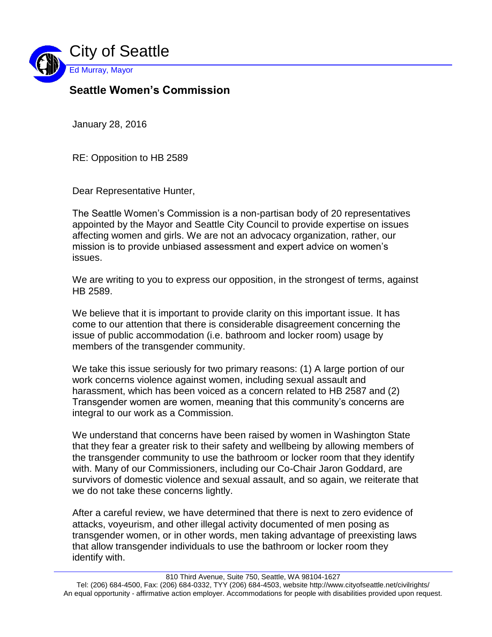

## **Seattle Women's Commission**

January 28, 2016

RE: Opposition to HB 2589

Dear Representative Hunter,

The Seattle Women's Commission is a non-partisan body of 20 representatives appointed by the Mayor and Seattle City Council to provide expertise on issues affecting women and girls. We are not an advocacy organization, rather, our mission is to provide unbiased assessment and expert advice on women's issues.

We are writing to you to express our opposition, in the strongest of terms, against HB 2589.

We believe that it is important to provide clarity on this important issue. It has come to our attention that there is considerable disagreement concerning the issue of public accommodation (i.e. bathroom and locker room) usage by members of the transgender community.

We take this issue seriously for two primary reasons: (1) A large portion of our work concerns violence against women, including sexual assault and harassment, which has been voiced as a concern related to HB 2587 and (2) Transgender women are women, meaning that this community's concerns are integral to our work as a Commission.

We understand that concerns have been raised by women in Washington State that they fear a greater risk to their safety and wellbeing by allowing members of the transgender community to use the bathroom or locker room that they identify with. Many of our Commissioners, including our Co-Chair Jaron Goddard, are survivors of domestic violence and sexual assault, and so again, we reiterate that we do not take these concerns lightly.

After a careful review, we have determined that there is next to zero evidence of attacks, voyeurism, and other illegal activity documented of men posing as transgender women, or in other words, men taking advantage of preexisting laws that allow transgender individuals to use the bathroom or locker room they identify with.

Tel: (206) 684-4500, Fax: (206) 684-0332, TYY (206) 684-4503, website http://www.cityofseattle.net/civilrights/ An equal opportunity - affirmative action employer. Accommodations for people with disabilities provided upon request.